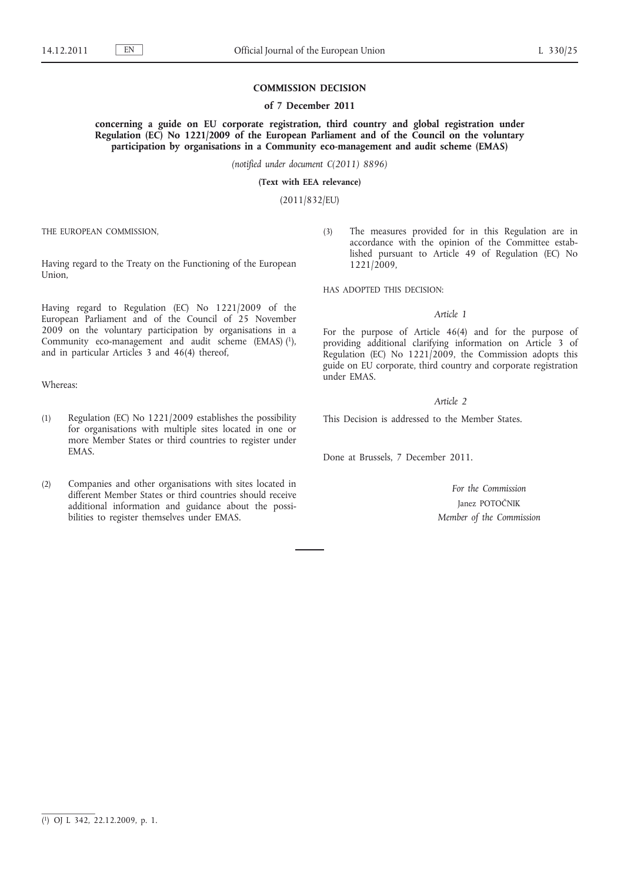# **COMMISSION DECISION**

## **of 7 December 2011**

**concerning a guide on EU corporate registration, third country and global registration under Regulation (EC) No 1221/2009 of the European Parliament and of the Council on the voluntary participation by organisations in a Community eco-management and audit scheme (EMAS)**

*(notified under document C(2011) 8896)*

**(Text with EEA relevance)**

(2011/832/EU)

THE EUROPEAN COMMISSION,

Having regard to the Treaty on the Functioning of the European Union,

Having regard to Regulation (EC) No 1221/2009 of the European Parliament and of the Council of 25 November 2009 on the voluntary participation by organisations in a Community eco-management and audit scheme (EMAS) (1), and in particular Articles 3 and 46(4) thereof,

Whereas:

- (1) Regulation (EC) No 1221/2009 establishes the possibility for organisations with multiple sites located in one or more Member States or third countries to register under EMAS.
- (2) Companies and other organisations with sites located in different Member States or third countries should receive additional information and guidance about the possibilities to register themselves under EMAS.

(3) The measures provided for in this Regulation are in accordance with the opinion of the Committee established pursuant to Article 49 of Regulation (EC) No 1221/2009,

HAS ADOPTED THIS DECISION:

# *Article 1*

For the purpose of Article 46(4) and for the purpose of providing additional clarifying information on Article 3 of Regulation (EC) No 1221/2009, the Commission adopts this guide on EU corporate, third country and corporate registration under EMAS.

*Article 2*

This Decision is addressed to the Member States.

Done at Brussels, 7 December 2011.

*For the Commission* Janez POTOČNIK *Member of the Commission*

<sup>(</sup> 1) OJ L 342, 22.12.2009, p. 1.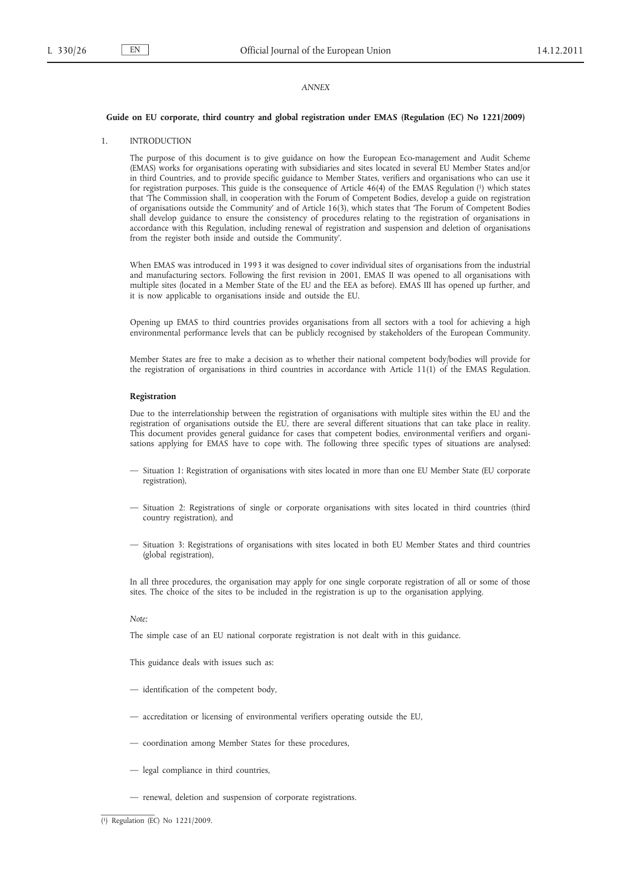# *ANNEX*

#### **Guide on EU corporate, third country and global registration under EMAS (Regulation (EC) No 1221/2009)**

#### 1. INTRODUCTION

The purpose of this document is to give guidance on how the European Eco-management and Audit Scheme (EMAS) works for organisations operating with subsidiaries and sites located in several EU Member States and/or in third Countries, and to provide specific guidance to Member States, verifiers and organisations who can use it for registration purposes. This guide is the consequence of Article 46(4) of the EMAS Regulation (1) which states that 'The Commission shall, in cooperation with the Forum of Competent Bodies, develop a guide on registration of organisations outside the Community' and of Article 16(3), which states that 'The Forum of Competent Bodies shall develop guidance to ensure the consistency of procedures relating to the registration of organisations in accordance with this Regulation, including renewal of registration and suspension and deletion of organisations from the register both inside and outside the Community'.

When EMAS was introduced in 1993 it was designed to cover individual sites of organisations from the industrial and manufacturing sectors. Following the first revision in 2001, EMAS II was opened to all organisations with multiple sites (located in a Member State of the EU and the EEA as before). EMAS III has opened up further, and it is now applicable to organisations inside and outside the EU.

Opening up EMAS to third countries provides organisations from all sectors with a tool for achieving a high environmental performance levels that can be publicly recognised by stakeholders of the European Community.

Member States are free to make a decision as to whether their national competent body/bodies will provide for the registration of organisations in third countries in accordance with Article 11(1) of the EMAS Regulation.

### **Registration**

Due to the interrelationship between the registration of organisations with multiple sites within the EU and the registration of organisations outside the EU, there are several different situations that can take place in reality. This document provides general guidance for cases that competent bodies, environmental verifiers and organisations applying for EMAS have to cope with. The following three specific types of situations are analysed:

- Situation 1: Registration of organisations with sites located in more than one EU Member State (EU corporate registration),
- Situation 2: Registrations of single or corporate organisations with sites located in third countries (third country registration), and
- Situation 3: Registrations of organisations with sites located in both EU Member States and third countries (global registration),

In all three procedures, the organisation may apply for one single corporate registration of all or some of those sites. The choice of the sites to be included in the registration is up to the organisation applying.

# *Note:*

The simple case of an EU national corporate registration is not dealt with in this guidance.

This guidance deals with issues such as:

- identification of the competent body,
- accreditation or licensing of environmental verifiers operating outside the EU,
- coordination among Member States for these procedures,
- legal compliance in third countries,
- renewal, deletion and suspension of corporate registrations.

<sup>(</sup> 1) Regulation (EC) No 1221/2009.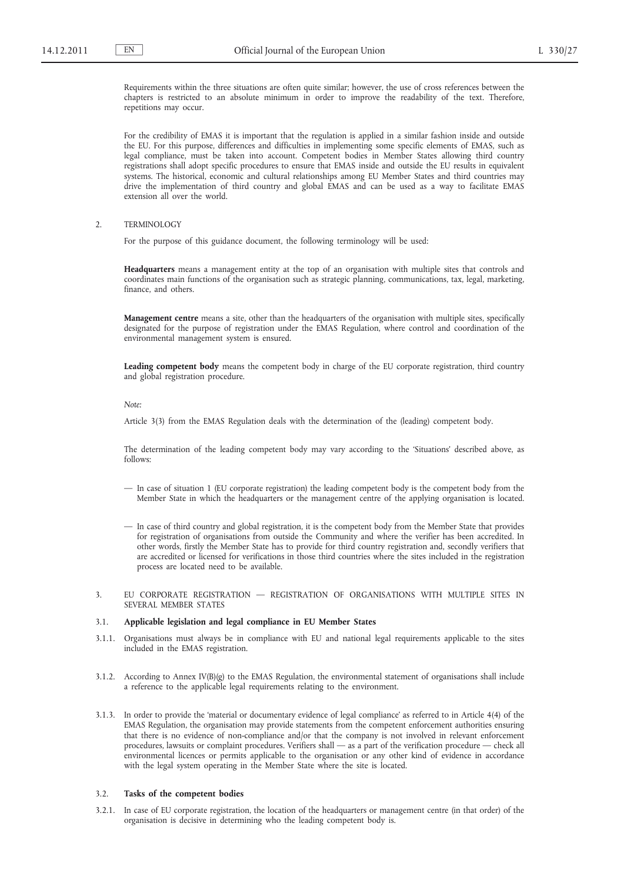Requirements within the three situations are often quite similar; however, the use of cross references between the chapters is restricted to an absolute minimum in order to improve the readability of the text. Therefore, repetitions may occur.

For the credibility of EMAS it is important that the regulation is applied in a similar fashion inside and outside the EU. For this purpose, differences and difficulties in implementing some specific elements of EMAS, such as legal compliance, must be taken into account. Competent bodies in Member States allowing third country registrations shall adopt specific procedures to ensure that EMAS inside and outside the EU results in equivalent systems. The historical, economic and cultural relationships among EU Member States and third countries may drive the implementation of third country and global EMAS and can be used as a way to facilitate EMAS extension all over the world.

# 2. TERMINOLOGY

For the purpose of this guidance document, the following terminology will be used:

**Headquarters** means a management entity at the top of an organisation with multiple sites that controls and coordinates main functions of the organisation such as strategic planning, communications, tax, legal, marketing, finance, and others.

**Management centre** means a site, other than the headquarters of the organisation with multiple sites, specifically designated for the purpose of registration under the EMAS Regulation, where control and coordination of the environmental management system is ensured.

**Leading competent body** means the competent body in charge of the EU corporate registration, third country and global registration procedure.

#### *Note:*

Article 3(3) from the EMAS Regulation deals with the determination of the (leading) competent body.

The determination of the leading competent body may vary according to the 'Situations' described above, as follows:

- In case of situation 1 (EU corporate registration) the leading competent body is the competent body from the Member State in which the headquarters or the management centre of the applying organisation is located.
- In case of third country and global registration, it is the competent body from the Member State that provides for registration of organisations from outside the Community and where the verifier has been accredited. In other words, firstly the Member State has to provide for third country registration and, secondly verifiers that are accredited or licensed for verifications in those third countries where the sites included in the registration process are located need to be available.
- 3. EU CORPORATE REGISTRATION REGISTRATION OF ORGANISATIONS WITH MULTIPLE SITES IN SEVERAL MEMBER STATES

## 3.1. **Applicable legislation and legal compliance in EU Member States**

- 3.1.1. Organisations must always be in compliance with EU and national legal requirements applicable to the sites included in the EMAS registration.
- 3.1.2. According to Annex IV(B)(g) to the EMAS Regulation, the environmental statement of organisations shall include a reference to the applicable legal requirements relating to the environment.
- 3.1.3. In order to provide the 'material or documentary evidence of legal compliance' as referred to in Article 4(4) of the EMAS Regulation, the organisation may provide statements from the competent enforcement authorities ensuring that there is no evidence of non-compliance and/or that the company is not involved in relevant enforcement procedures, lawsuits or complaint procedures. Verifiers shall — as a part of the verification procedure — check all environmental licences or permits applicable to the organisation or any other kind of evidence in accordance with the legal system operating in the Member State where the site is located.

#### 3.2. **Tasks of the competent bodies**

3.2.1. In case of EU corporate registration, the location of the headquarters or management centre (in that order) of the organisation is decisive in determining who the leading competent body is.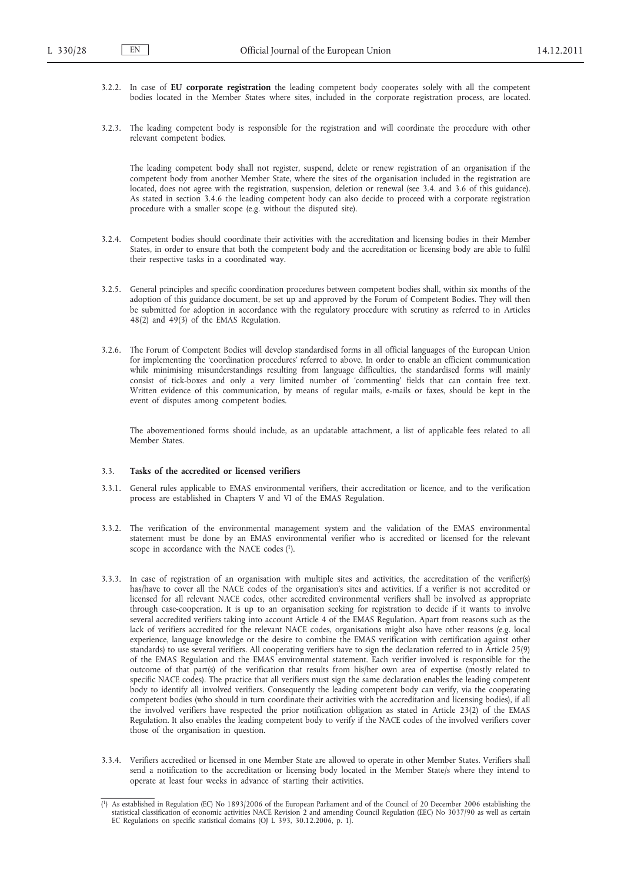- 3.2.2. In case of **EU corporate registration** the leading competent body cooperates solely with all the competent bodies located in the Member States where sites, included in the corporate registration process, are located.
- 3.2.3. The leading competent body is responsible for the registration and will coordinate the procedure with other relevant competent bodies.

The leading competent body shall not register, suspend, delete or renew registration of an organisation if the competent body from another Member State, where the sites of the organisation included in the registration are located, does not agree with the registration, suspension, deletion or renewal (see 3.4. and 3.6 of this guidance). As stated in section 3.4.6 the leading competent body can also decide to proceed with a corporate registration procedure with a smaller scope (e.g. without the disputed site).

- 3.2.4. Competent bodies should coordinate their activities with the accreditation and licensing bodies in their Member States, in order to ensure that both the competent body and the accreditation or licensing body are able to fulfil their respective tasks in a coordinated way.
- 3.2.5. General principles and specific coordination procedures between competent bodies shall, within six months of the adoption of this guidance document, be set up and approved by the Forum of Competent Bodies. They will then be submitted for adoption in accordance with the regulatory procedure with scrutiny as referred to in Articles 48(2) and 49(3) of the EMAS Regulation.
- 3.2.6. The Forum of Competent Bodies will develop standardised forms in all official languages of the European Union for implementing the 'coordination procedures' referred to above. In order to enable an efficient communication while minimising misunderstandings resulting from language difficulties, the standardised forms will mainly consist of tick-boxes and only a very limited number of 'commenting' fields that can contain free text. Written evidence of this communication, by means of regular mails, e-mails or faxes, should be kept in the event of disputes among competent bodies.

The abovementioned forms should include, as an updatable attachment, a list of applicable fees related to all Member States.

# 3.3. **Tasks of the accredited or licensed verifiers**

- 3.3.1. General rules applicable to EMAS environmental verifiers, their accreditation or licence, and to the verification process are established in Chapters V and VI of the EMAS Regulation.
- 3.3.2. The verification of the environmental management system and the validation of the EMAS environmental statement must be done by an EMAS environmental verifier who is accredited or licensed for the relevant scope in accordance with the NACE codes (1).
- 3.3.3. In case of registration of an organisation with multiple sites and activities, the accreditation of the verifier(s) has/have to cover all the NACE codes of the organisation's sites and activities. If a verifier is not accredited or licensed for all relevant NACE codes, other accredited environmental verifiers shall be involved as appropriate through case-cooperation. It is up to an organisation seeking for registration to decide if it wants to involve several accredited verifiers taking into account Article 4 of the EMAS Regulation. Apart from reasons such as the lack of verifiers accredited for the relevant NACE codes, organisations might also have other reasons (e.g. local experience, language knowledge or the desire to combine the EMAS verification with certification against other standards) to use several verifiers. All cooperating verifiers have to sign the declaration referred to in Article 25(9) of the EMAS Regulation and the EMAS environmental statement. Each verifier involved is responsible for the outcome of that part(s) of the verification that results from his/her own area of expertise (mostly related to specific NACE codes). The practice that all verifiers must sign the same declaration enables the leading competent body to identify all involved verifiers. Consequently the leading competent body can verify, via the cooperating competent bodies (who should in turn coordinate their activities with the accreditation and licensing bodies), if all the involved verifiers have respected the prior notification obligation as stated in Article 23(2) of the EMAS Regulation. It also enables the leading competent body to verify if the NACE codes of the involved verifiers cover those of the organisation in question.
- 3.3.4. Verifiers accredited or licensed in one Member State are allowed to operate in other Member States. Verifiers shall send a notification to the accreditation or licensing body located in the Member State/s where they intend to operate at least four weeks in advance of starting their activities.

<sup>(</sup> 1) As established in Regulation (EC) No 1893/2006 of the European Parliament and of the Council of 20 December 2006 establishing the statistical classification of economic activities NACE Revision 2 and amending Council Regulation (EEC) No 3037/90 as well as certain EC Regulations on specific statistical domains (OJ L 393, 30.12.2006, p. 1).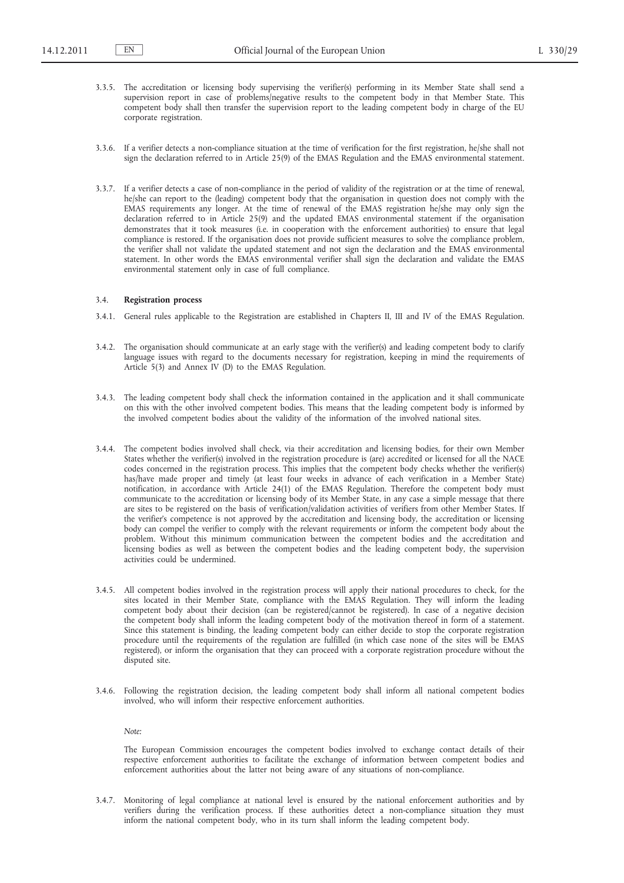- 3.3.5. The accreditation or licensing body supervising the verifier(s) performing in its Member State shall send a supervision report in case of problems/negative results to the competent body in that Member State. This competent body shall then transfer the supervision report to the leading competent body in charge of the EU corporate registration.
- 3.3.6. If a verifier detects a non-compliance situation at the time of verification for the first registration, he/she shall not sign the declaration referred to in Article 25(9) of the EMAS Regulation and the EMAS environmental statement.
- 3.3.7. If a verifier detects a case of non-compliance in the period of validity of the registration or at the time of renewal, he/she can report to the (leading) competent body that the organisation in question does not comply with the EMAS requirements any longer. At the time of renewal of the EMAS registration he/she may only sign the declaration referred to in Article 25(9) and the updated EMAS environmental statement if the organisation demonstrates that it took measures (i.e. in cooperation with the enforcement authorities) to ensure that legal compliance is restored. If the organisation does not provide sufficient measures to solve the compliance problem, the verifier shall not validate the updated statement and not sign the declaration and the EMAS environmental statement. In other words the EMAS environmental verifier shall sign the declaration and validate the EMAS environmental statement only in case of full compliance.

## 3.4. **Registration process**

- 3.4.1. General rules applicable to the Registration are established in Chapters II, III and IV of the EMAS Regulation.
- 3.4.2. The organisation should communicate at an early stage with the verifier(s) and leading competent body to clarify language issues with regard to the documents necessary for registration, keeping in mind the requirements of Article 5(3) and Annex IV (D) to the EMAS Regulation.
- 3.4.3. The leading competent body shall check the information contained in the application and it shall communicate on this with the other involved competent bodies. This means that the leading competent body is informed by the involved competent bodies about the validity of the information of the involved national sites.
- 3.4.4. The competent bodies involved shall check, via their accreditation and licensing bodies, for their own Member States whether the verifier(s) involved in the registration procedure is (are) accredited or licensed for all the NACE codes concerned in the registration process. This implies that the competent body checks whether the verifier(s) has/have made proper and timely (at least four weeks in advance of each verification in a Member State) notification, in accordance with Article 24(1) of the EMAS Regulation. Therefore the competent body must communicate to the accreditation or licensing body of its Member State, in any case a simple message that there are sites to be registered on the basis of verification/validation activities of verifiers from other Member States. If the verifier's competence is not approved by the accreditation and licensing body, the accreditation or licensing body can compel the verifier to comply with the relevant requirements or inform the competent body about the problem. Without this minimum communication between the competent bodies and the accreditation and licensing bodies as well as between the competent bodies and the leading competent body, the supervision activities could be undermined.
- 3.4.5. All competent bodies involved in the registration process will apply their national procedures to check, for the sites located in their Member State, compliance with the EMAS Regulation. They will inform the leading competent body about their decision (can be registered/cannot be registered). In case of a negative decision the competent body shall inform the leading competent body of the motivation thereof in form of a statement. Since this statement is binding, the leading competent body can either decide to stop the corporate registration procedure until the requirements of the regulation are fulfilled (in which case none of the sites will be EMAS registered), or inform the organisation that they can proceed with a corporate registration procedure without the disputed site.
- 3.4.6. Following the registration decision, the leading competent body shall inform all national competent bodies involved, who will inform their respective enforcement authorities.

*Note:*

The European Commission encourages the competent bodies involved to exchange contact details of their respective enforcement authorities to facilitate the exchange of information between competent bodies and enforcement authorities about the latter not being aware of any situations of non-compliance.

3.4.7. Monitoring of legal compliance at national level is ensured by the national enforcement authorities and by verifiers during the verification process. If these authorities detect a non-compliance situation they must inform the national competent body, who in its turn shall inform the leading competent body.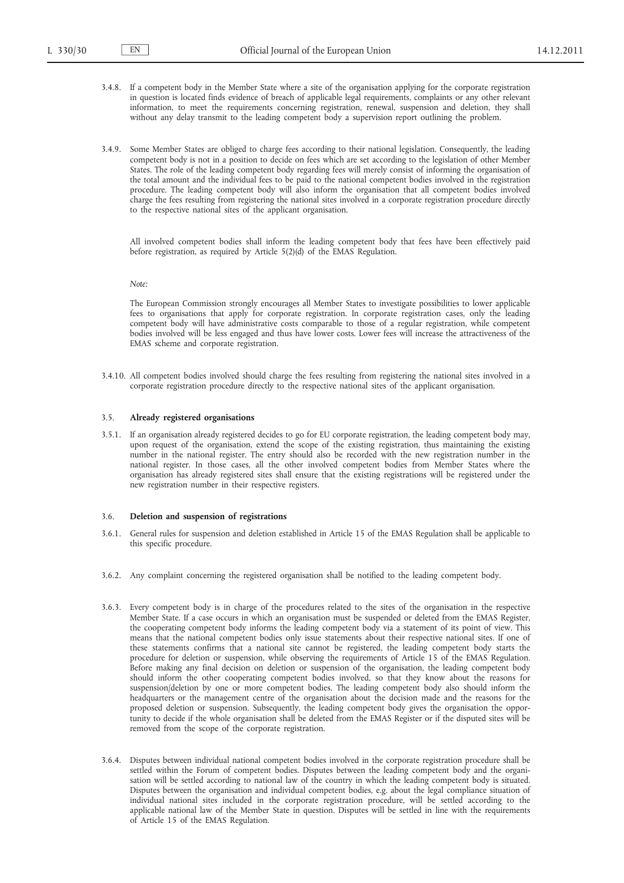- 3.4.8. If a competent body in the Member State where a site of the organisation applying for the corporate registration in question is located finds evidence of breach of applicable legal requirements, complaints or any other relevant information, to meet the requirements concerning registration, renewal, suspension and deletion, they shall without any delay transmit to the leading competent body a supervision report outlining the problem.
- 3.4.9. Some Member States are obliged to charge fees according to their national legislation. Consequently, the leading competent body is not in a position to decide on fees which are set according to the legislation of other Member States. The role of the leading competent body regarding fees will merely consist of informing the organisation of the total amount and the individual fees to be paid to the national competent bodies involved in the registration procedure. The leading competent body will also inform the organisation that all competent bodies involved charge the fees resulting from registering the national sites involved in a corporate registration procedure directly to the respective national sites of the applicant organisation.

All involved competent bodies shall inform the leading competent body that fees have been effectively paid before registration, as required by Article 5(2)(d) of the EMAS Regulation.

*Note:*

The European Commission strongly encourages all Member States to investigate possibilities to lower applicable fees to organisations that apply for corporate registration. In corporate registration cases, only the leading competent body will have administrative costs comparable to those of a regular registration, while competent bodies involved will be less engaged and thus have lower costs. Lower fees will increase the attractiveness of the EMAS scheme and corporate registration.

3.4.10. All competent bodies involved should charge the fees resulting from registering the national sites involved in a corporate registration procedure directly to the respective national sites of the applicant organisation.

# 3.5. **Already registered organisations**

3.5.1. If an organisation already registered decides to go for EU corporate registration, the leading competent body may, upon request of the organisation, extend the scope of the existing registration, thus maintaining the existing number in the national register. The entry should also be recorded with the new registration number in the national register. In those cases, all the other involved competent bodies from Member States where the organisation has already registered sites shall ensure that the existing registrations will be registered under the new registration number in their respective registers.

#### 3.6. **Deletion and suspension of registrations**

- 3.6.1. General rules for suspension and deletion established in Article 15 of the EMAS Regulation shall be applicable to this specific procedure.
- 3.6.2. Any complaint concerning the registered organisation shall be notified to the leading competent body.
- 3.6.3. Every competent body is in charge of the procedures related to the sites of the organisation in the respective Member State. If a case occurs in which an organisation must be suspended or deleted from the EMAS Register, the cooperating competent body informs the leading competent body via a statement of its point of view. This means that the national competent bodies only issue statements about their respective national sites. If one of these statements confirms that a national site cannot be registered, the leading competent body starts the procedure for deletion or suspension, while observing the requirements of Article 15 of the EMAS Regulation. Before making any final decision on deletion or suspension of the organisation, the leading competent body should inform the other cooperating competent bodies involved, so that they know about the reasons for suspension/deletion by one or more competent bodies. The leading competent body also should inform the headquarters or the management centre of the organisation about the decision made and the reasons for the proposed deletion or suspension. Subsequently, the leading competent body gives the organisation the opportunity to decide if the whole organisation shall be deleted from the EMAS Register or if the disputed sites will be removed from the scope of the corporate registration.
- 3.6.4. Disputes between individual national competent bodies involved in the corporate registration procedure shall be settled within the Forum of competent bodies. Disputes between the leading competent body and the organisation will be settled according to national law of the country in which the leading competent body is situated. Disputes between the organisation and individual competent bodies, e.g. about the legal compliance situation of individual national sites included in the corporate registration procedure, will be settled according to the applicable national law of the Member State in question. Disputes will be settled in line with the requirements of Article 15 of the EMAS Regulation.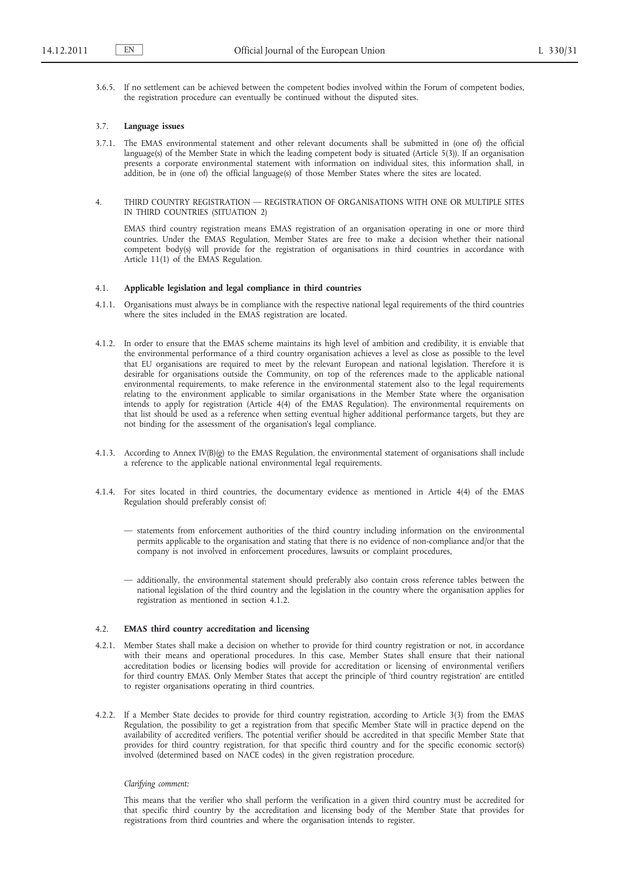3.6.5. If no settlement can be achieved between the competent bodies involved within the Forum of competent bodies, the registration procedure can eventually be continued without the disputed sites.

#### 3.7. **Language issues**

- 3.7.1. The EMAS environmental statement and other relevant documents shall be submitted in (one of) the official language(s) of the Member State in which the leading competent body is situated (Article 5(3)). If an organisation presents a corporate environmental statement with information on individual sites, this information shall, in addition, be in (one of) the official language(s) of those Member States where the sites are located.
- 4. THIRD COUNTRY REGISTRATION REGISTRATION OF ORGANISATIONS WITH ONE OR MULTIPLE SITES IN THIRD COUNTRIES (SITUATION 2)

EMAS third country registration means EMAS registration of an organisation operating in one or more third countries. Under the EMAS Regulation, Member States are free to make a decision whether their national competent body(s) will provide for the registration of organisations in third countries in accordance with Article 11(1) of the EMAS Regulation.

### 4.1. **Applicable legislation and legal compliance in third countries**

- 4.1.1. Organisations must always be in compliance with the respective national legal requirements of the third countries where the sites included in the EMAS registration are located.
- 4.1.2. In order to ensure that the EMAS scheme maintains its high level of ambition and credibility, it is enviable that the environmental performance of a third country organisation achieves a level as close as possible to the level that EU organisations are required to meet by the relevant European and national legislation. Therefore it is desirable for organisations outside the Community, on top of the references made to the applicable national environmental requirements, to make reference in the environmental statement also to the legal requirements relating to the environment applicable to similar organisations in the Member State where the organisation intends to apply for registration (Article 4(4) of the EMAS Regulation). The environmental requirements on that list should be used as a reference when setting eventual higher additional performance targets, but they are not binding for the assessment of the organisation's legal compliance.
- 4.1.3. According to Annex IV(B)(g) to the EMAS Regulation, the environmental statement of organisations shall include a reference to the applicable national environmental legal requirements.
- 4.1.4. For sites located in third countries, the documentary evidence as mentioned in Article 4(4) of the EMAS Regulation should preferably consist of:
	- statements from enforcement authorities of the third country including information on the environmental permits applicable to the organisation and stating that there is no evidence of non-compliance and/or that the company is not involved in enforcement procedures, lawsuits or complaint procedures,
	- additionally, the environmental statement should preferably also contain cross reference tables between the national legislation of the third country and the legislation in the country where the organisation applies for registration as mentioned in section 4.1.2.

#### 4.2. **EMAS third country accreditation and licensing**

- 4.2.1. Member States shall make a decision on whether to provide for third country registration or not, in accordance with their means and operational procedures. In this case, Member States shall ensure that their national accreditation bodies or licensing bodies will provide for accreditation or licensing of environmental verifiers for third country EMAS. Only Member States that accept the principle of 'third country registration' are entitled to register organisations operating in third countries.
- 4.2.2. If a Member State decides to provide for third country registration, according to Article 3(3) from the EMAS Regulation, the possibility to get a registration from that specific Member State will in practice depend on the availability of accredited verifiers. The potential verifier should be accredited in that specific Member State that provides for third country registration, for that specific third country and for the specific economic sector(s) involved (determined based on NACE codes) in the given registration procedure.

# *Clarifying comment:*

This means that the verifier who shall perform the verification in a given third country must be accredited for that specific third country by the accreditation and licensing body of the Member State that provides for registrations from third countries and where the organisation intends to register.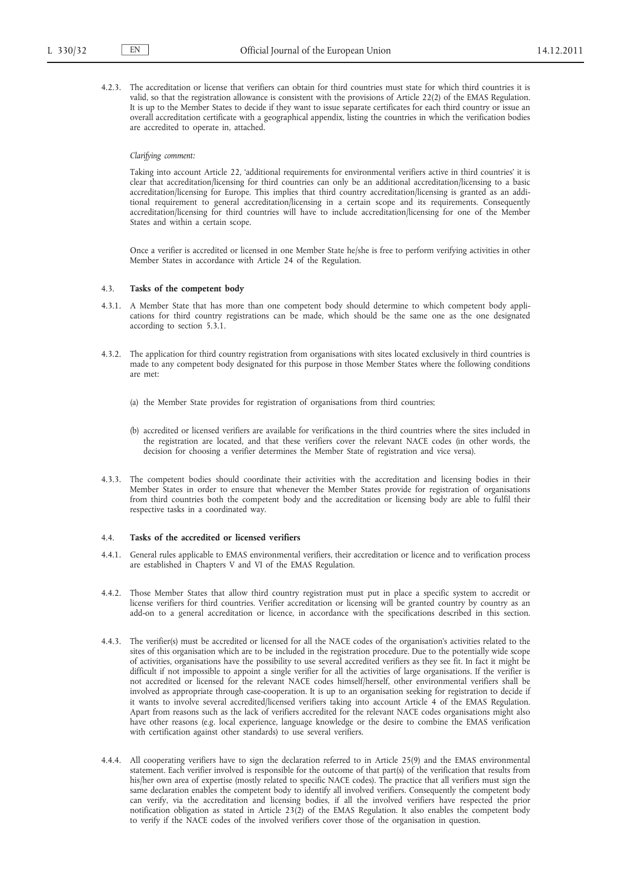4.2.3. The accreditation or license that verifiers can obtain for third countries must state for which third countries it is valid, so that the registration allowance is consistent with the provisions of Article 22(2) of the EMAS Regulation. It is up to the Member States to decide if they want to issue separate certificates for each third country or issue an overall accreditation certificate with a geographical appendix, listing the countries in which the verification bodies are accredited to operate in, attached.

# *Clarifying comment:*

Taking into account Article 22, 'additional requirements for environmental verifiers active in third countries' it is clear that accreditation/licensing for third countries can only be an additional accreditation/licensing to a basic accreditation/licensing for Europe. This implies that third country accreditation/licensing is granted as an additional requirement to general accreditation/licensing in a certain scope and its requirements. Consequently accreditation/licensing for third countries will have to include accreditation/licensing for one of the Member States and within a certain scope.

Once a verifier is accredited or licensed in one Member State he/she is free to perform verifying activities in other Member States in accordance with Article 24 of the Regulation.

# 4.3. **Tasks of the competent body**

- 4.3.1. A Member State that has more than one competent body should determine to which competent body applications for third country registrations can be made, which should be the same one as the one designated according to section 5.3.1.
- 4.3.2. The application for third country registration from organisations with sites located exclusively in third countries is made to any competent body designated for this purpose in those Member States where the following conditions are met:
	- (a) the Member State provides for registration of organisations from third countries;
	- (b) accredited or licensed verifiers are available for verifications in the third countries where the sites included in the registration are located, and that these verifiers cover the relevant NACE codes (in other words, the decision for choosing a verifier determines the Member State of registration and vice versa).
- 4.3.3. The competent bodies should coordinate their activities with the accreditation and licensing bodies in their Member States in order to ensure that whenever the Member States provide for registration of organisations from third countries both the competent body and the accreditation or licensing body are able to fulfil their respective tasks in a coordinated way.

#### 4.4. **Tasks of the accredited or licensed verifiers**

- 4.4.1. General rules applicable to EMAS environmental verifiers, their accreditation or licence and to verification process are established in Chapters V and VI of the EMAS Regulation.
- 4.4.2. Those Member States that allow third country registration must put in place a specific system to accredit or license verifiers for third countries. Verifier accreditation or licensing will be granted country by country as an add-on to a general accreditation or licence, in accordance with the specifications described in this section.
- 4.4.3. The verifier(s) must be accredited or licensed for all the NACE codes of the organisation's activities related to the sites of this organisation which are to be included in the registration procedure. Due to the potentially wide scope of activities, organisations have the possibility to use several accredited verifiers as they see fit. In fact it might be difficult if not impossible to appoint a single verifier for all the activities of large organisations. If the verifier is not accredited or licensed for the relevant NACE codes himself/herself, other environmental verifiers shall be involved as appropriate through case-cooperation. It is up to an organisation seeking for registration to decide if it wants to involve several accredited/licensed verifiers taking into account Article 4 of the EMAS Regulation. Apart from reasons such as the lack of verifiers accredited for the relevant NACE codes organisations might also have other reasons (e.g. local experience, language knowledge or the desire to combine the EMAS verification with certification against other standards) to use several verifiers.
- 4.4.4. All cooperating verifiers have to sign the declaration referred to in Article 25(9) and the EMAS environmental statement. Each verifier involved is responsible for the outcome of that part(s) of the verification that results from his/her own area of expertise (mostly related to specific NACE codes). The practice that all verifiers must sign the same declaration enables the competent body to identify all involved verifiers. Consequently the competent body can verify, via the accreditation and licensing bodies, if all the involved verifiers have respected the prior notification obligation as stated in Article 23(2) of the EMAS Regulation. It also enables the competent body to verify if the NACE codes of the involved verifiers cover those of the organisation in question.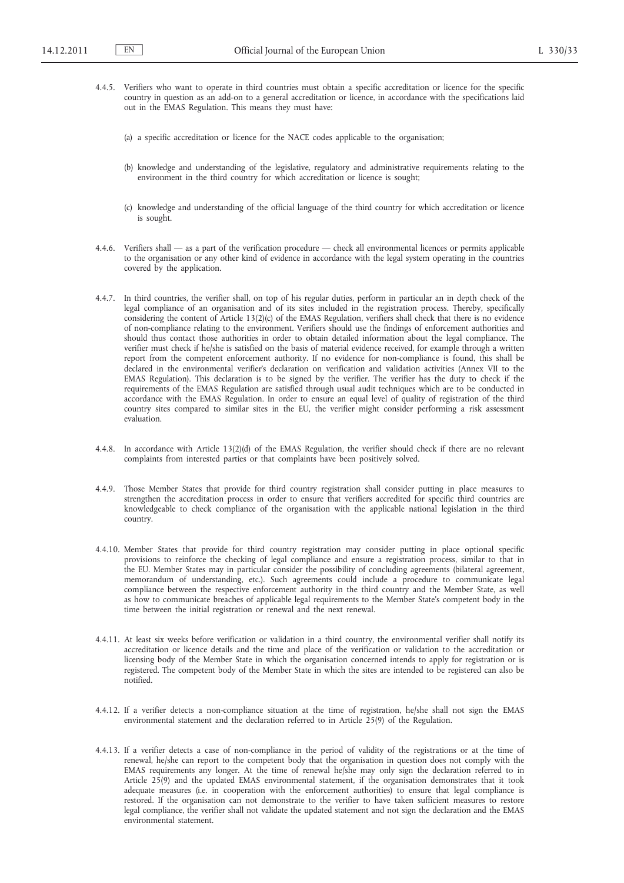- 4.4.5. Verifiers who want to operate in third countries must obtain a specific accreditation or licence for the specific country in question as an add-on to a general accreditation or licence, in accordance with the specifications laid out in the EMAS Regulation. This means they must have:
	- (a) a specific accreditation or licence for the NACE codes applicable to the organisation;
	- (b) knowledge and understanding of the legislative, regulatory and administrative requirements relating to the environment in the third country for which accreditation or licence is sought;
	- (c) knowledge and understanding of the official language of the third country for which accreditation or licence is sought.
- 4.4.6. Verifiers shall as a part of the verification procedure check all environmental licences or permits applicable to the organisation or any other kind of evidence in accordance with the legal system operating in the countries covered by the application.
- 4.4.7. In third countries, the verifier shall, on top of his regular duties, perform in particular an in depth check of the legal compliance of an organisation and of its sites included in the registration process. Thereby, specifically considering the content of Article 13(2)(c) of the EMAS Regulation, verifiers shall check that there is no evidence of non-compliance relating to the environment. Verifiers should use the findings of enforcement authorities and should thus contact those authorities in order to obtain detailed information about the legal compliance. The verifier must check if he/she is satisfied on the basis of material evidence received, for example through a written report from the competent enforcement authority. If no evidence for non-compliance is found, this shall be declared in the environmental verifier's declaration on verification and validation activities (Annex VII to the EMAS Regulation). This declaration is to be signed by the verifier. The verifier has the duty to check if the requirements of the EMAS Regulation are satisfied through usual audit techniques which are to be conducted in accordance with the EMAS Regulation. In order to ensure an equal level of quality of registration of the third country sites compared to similar sites in the EU, the verifier might consider performing a risk assessment evaluation.
- 4.4.8. In accordance with Article 13(2)(d) of the EMAS Regulation, the verifier should check if there are no relevant complaints from interested parties or that complaints have been positively solved.
- 4.4.9. Those Member States that provide for third country registration shall consider putting in place measures to strengthen the accreditation process in order to ensure that verifiers accredited for specific third countries are knowledgeable to check compliance of the organisation with the applicable national legislation in the third country.
- 4.4.10. Member States that provide for third country registration may consider putting in place optional specific provisions to reinforce the checking of legal compliance and ensure a registration process, similar to that in the EU. Member States may in particular consider the possibility of concluding agreements (bilateral agreement, memorandum of understanding, etc.). Such agreements could include a procedure to communicate legal compliance between the respective enforcement authority in the third country and the Member State, as well as how to communicate breaches of applicable legal requirements to the Member State's competent body in the time between the initial registration or renewal and the next renewal.
- 4.4.11. At least six weeks before verification or validation in a third country, the environmental verifier shall notify its accreditation or licence details and the time and place of the verification or validation to the accreditation or licensing body of the Member State in which the organisation concerned intends to apply for registration or is registered. The competent body of the Member State in which the sites are intended to be registered can also be notified.
- 4.4.12. If a verifier detects a non-compliance situation at the time of registration, he/she shall not sign the EMAS environmental statement and the declaration referred to in Article 25(9) of the Regulation.
- 4.4.13. If a verifier detects a case of non-compliance in the period of validity of the registrations or at the time of renewal, he/she can report to the competent body that the organisation in question does not comply with the EMAS requirements any longer. At the time of renewal he/she may only sign the declaration referred to in Article 25(9) and the updated EMAS environmental statement, if the organisation demonstrates that it took adequate measures (i.e. in cooperation with the enforcement authorities) to ensure that legal compliance is restored. If the organisation can not demonstrate to the verifier to have taken sufficient measures to restore legal compliance, the verifier shall not validate the updated statement and not sign the declaration and the EMAS environmental statement.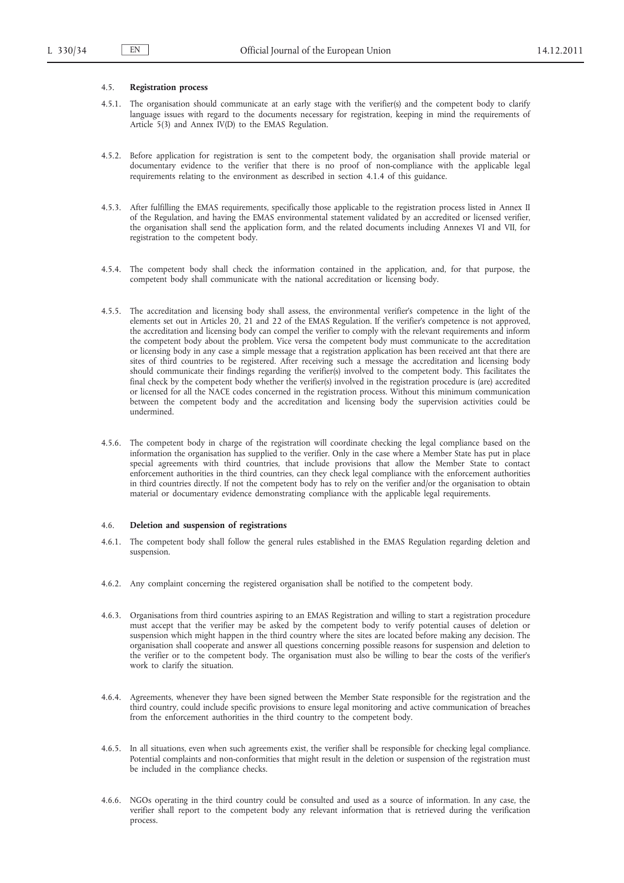## 4.5. **Registration process**

- 4.5.1. The organisation should communicate at an early stage with the verifier(s) and the competent body to clarify language issues with regard to the documents necessary for registration, keeping in mind the requirements of Article 5(3) and Annex IV(D) to the EMAS Regulation.
- 4.5.2. Before application for registration is sent to the competent body, the organisation shall provide material or documentary evidence to the verifier that there is no proof of non-compliance with the applicable legal requirements relating to the environment as described in section 4.1.4 of this guidance.
- 4.5.3. After fulfilling the EMAS requirements, specifically those applicable to the registration process listed in Annex II of the Regulation, and having the EMAS environmental statement validated by an accredited or licensed verifier, the organisation shall send the application form, and the related documents including Annexes VI and VII, for registration to the competent body.
- 4.5.4. The competent body shall check the information contained in the application, and, for that purpose, the competent body shall communicate with the national accreditation or licensing body.
- 4.5.5. The accreditation and licensing body shall assess, the environmental verifier's competence in the light of the elements set out in Articles 20, 21 and 22 of the EMAS Regulation. If the verifier's competence is not approved, the accreditation and licensing body can compel the verifier to comply with the relevant requirements and inform the competent body about the problem. Vice versa the competent body must communicate to the accreditation or licensing body in any case a simple message that a registration application has been received ant that there are sites of third countries to be registered. After receiving such a message the accreditation and licensing body should communicate their findings regarding the verifier(s) involved to the competent body. This facilitates the final check by the competent body whether the verifier(s) involved in the registration procedure is (are) accredited or licensed for all the NACE codes concerned in the registration process. Without this minimum communication between the competent body and the accreditation and licensing body the supervision activities could be undermined.
- 4.5.6. The competent body in charge of the registration will coordinate checking the legal compliance based on the information the organisation has supplied to the verifier. Only in the case where a Member State has put in place special agreements with third countries, that include provisions that allow the Member State to contact enforcement authorities in the third countries, can they check legal compliance with the enforcement authorities in third countries directly. If not the competent body has to rely on the verifier and/or the organisation to obtain material or documentary evidence demonstrating compliance with the applicable legal requirements.

### 4.6. **Deletion and suspension of registrations**

- 4.6.1. The competent body shall follow the general rules established in the EMAS Regulation regarding deletion and suspension.
- 4.6.2. Any complaint concerning the registered organisation shall be notified to the competent body.
- 4.6.3. Organisations from third countries aspiring to an EMAS Registration and willing to start a registration procedure must accept that the verifier may be asked by the competent body to verify potential causes of deletion or suspension which might happen in the third country where the sites are located before making any decision. The organisation shall cooperate and answer all questions concerning possible reasons for suspension and deletion to the verifier or to the competent body. The organisation must also be willing to bear the costs of the verifier's work to clarify the situation.
- 4.6.4. Agreements, whenever they have been signed between the Member State responsible for the registration and the third country, could include specific provisions to ensure legal monitoring and active communication of breaches from the enforcement authorities in the third country to the competent body.
- 4.6.5. In all situations, even when such agreements exist, the verifier shall be responsible for checking legal compliance. Potential complaints and non-conformities that might result in the deletion or suspension of the registration must be included in the compliance checks.
- 4.6.6. NGOs operating in the third country could be consulted and used as a source of information. In any case, the verifier shall report to the competent body any relevant information that is retrieved during the verification process.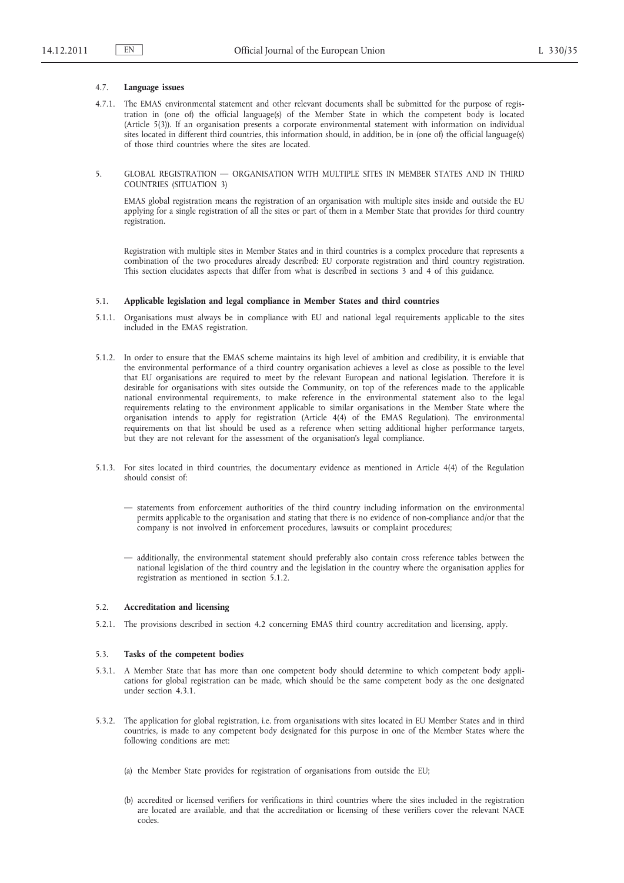# 4.7. **Language issues**

- 4.7.1. The EMAS environmental statement and other relevant documents shall be submitted for the purpose of registration in (one of) the official language(s) of the Member State in which the competent body is located (Article 5(3)). If an organisation presents a corporate environmental statement with information on individual sites located in different third countries, this information should, in addition, be in (one of) the official language(s) of those third countries where the sites are located.
- 5. GLOBAL REGISTRATION ORGANISATION WITH MULTIPLE SITES IN MEMBER STATES AND IN THIRD COUNTRIES (SITUATION 3)

EMAS global registration means the registration of an organisation with multiple sites inside and outside the EU applying for a single registration of all the sites or part of them in a Member State that provides for third country registration.

Registration with multiple sites in Member States and in third countries is a complex procedure that represents a combination of the two procedures already described: EU corporate registration and third country registration. This section elucidates aspects that differ from what is described in sections 3 and 4 of this guidance.

### 5.1. **Applicable legislation and legal compliance in Member States and third countries**

- 5.1.1. Organisations must always be in compliance with EU and national legal requirements applicable to the sites included in the EMAS registration.
- 5.1.2. In order to ensure that the EMAS scheme maintains its high level of ambition and credibility, it is enviable that the environmental performance of a third country organisation achieves a level as close as possible to the level that EU organisations are required to meet by the relevant European and national legislation. Therefore it is desirable for organisations with sites outside the Community, on top of the references made to the applicable national environmental requirements, to make reference in the environmental statement also to the legal requirements relating to the environment applicable to similar organisations in the Member State where the organisation intends to apply for registration (Article 4(4) of the EMAS Regulation). The environmental requirements on that list should be used as a reference when setting additional higher performance targets, but they are not relevant for the assessment of the organisation's legal compliance.
- 5.1.3. For sites located in third countries, the documentary evidence as mentioned in Article 4(4) of the Regulation should consist of:
	- statements from enforcement authorities of the third country including information on the environmental permits applicable to the organisation and stating that there is no evidence of non-compliance and/or that the company is not involved in enforcement procedures, lawsuits or complaint procedures;
	- additionally, the environmental statement should preferably also contain cross reference tables between the national legislation of the third country and the legislation in the country where the organisation applies for registration as mentioned in section 5.1.2.

# 5.2. **Accreditation and licensing**

5.2.1. The provisions described in section 4.2 concerning EMAS third country accreditation and licensing, apply.

# 5.3. **Tasks of the competent bodies**

- 5.3.1. A Member State that has more than one competent body should determine to which competent body applications for global registration can be made, which should be the same competent body as the one designated under section 4.3.1.
- 5.3.2. The application for global registration, i.e. from organisations with sites located in EU Member States and in third countries, is made to any competent body designated for this purpose in one of the Member States where the following conditions are met:
	- (a) the Member State provides for registration of organisations from outside the EU;
	- (b) accredited or licensed verifiers for verifications in third countries where the sites included in the registration are located are available, and that the accreditation or licensing of these verifiers cover the relevant NACE codes.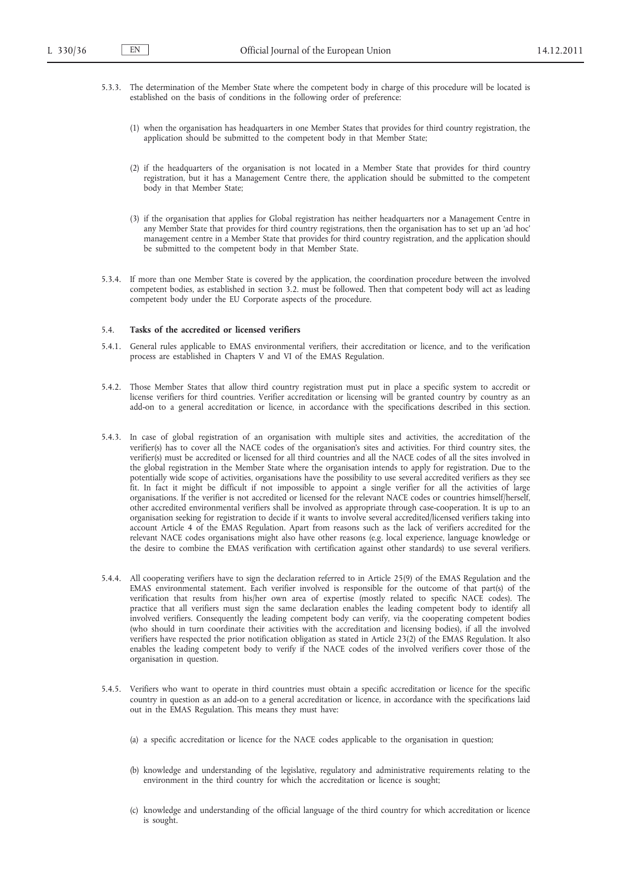- 5.3.3. The determination of the Member State where the competent body in charge of this procedure will be located is established on the basis of conditions in the following order of preference:
	- (1) when the organisation has headquarters in one Member States that provides for third country registration, the application should be submitted to the competent body in that Member State;
	- (2) if the headquarters of the organisation is not located in a Member State that provides for third country registration, but it has a Management Centre there, the application should be submitted to the competent body in that Member State;
	- (3) if the organisation that applies for Global registration has neither headquarters nor a Management Centre in any Member State that provides for third country registrations, then the organisation has to set up an 'ad hoc' management centre in a Member State that provides for third country registration, and the application should be submitted to the competent body in that Member State.
- 5.3.4. If more than one Member State is covered by the application, the coordination procedure between the involved competent bodies, as established in section 3.2. must be followed. Then that competent body will act as leading competent body under the EU Corporate aspects of the procedure.

# 5.4. **Tasks of the accredited or licensed verifiers**

- 5.4.1. General rules applicable to EMAS environmental verifiers, their accreditation or licence, and to the verification process are established in Chapters V and VI of the EMAS Regulation.
- 5.4.2. Those Member States that allow third country registration must put in place a specific system to accredit or license verifiers for third countries. Verifier accreditation or licensing will be granted country by country as an add-on to a general accreditation or licence, in accordance with the specifications described in this section.
- 5.4.3. In case of global registration of an organisation with multiple sites and activities, the accreditation of the verifier(s) has to cover all the NACE codes of the organisation's sites and activities. For third country sites, the verifier(s) must be accredited or licensed for all third countries and all the NACE codes of all the sites involved in the global registration in the Member State where the organisation intends to apply for registration. Due to the potentially wide scope of activities, organisations have the possibility to use several accredited verifiers as they see fit. In fact it might be difficult if not impossible to appoint a single verifier for all the activities of large organisations. If the verifier is not accredited or licensed for the relevant NACE codes or countries himself/herself, other accredited environmental verifiers shall be involved as appropriate through case-cooperation. It is up to an organisation seeking for registration to decide if it wants to involve several accredited/licensed verifiers taking into account Article 4 of the EMAS Regulation. Apart from reasons such as the lack of verifiers accredited for the relevant NACE codes organisations might also have other reasons (e.g. local experience, language knowledge or the desire to combine the EMAS verification with certification against other standards) to use several verifiers.
- 5.4.4. All cooperating verifiers have to sign the declaration referred to in Article 25(9) of the EMAS Regulation and the EMAS environmental statement. Each verifier involved is responsible for the outcome of that part(s) of the verification that results from his/her own area of expertise (mostly related to specific NACE codes). The practice that all verifiers must sign the same declaration enables the leading competent body to identify all involved verifiers. Consequently the leading competent body can verify, via the cooperating competent bodies (who should in turn coordinate their activities with the accreditation and licensing bodies), if all the involved verifiers have respected the prior notification obligation as stated in Article 23(2) of the EMAS Regulation. It also enables the leading competent body to verify if the NACE codes of the involved verifiers cover those of the organisation in question.
- 5.4.5. Verifiers who want to operate in third countries must obtain a specific accreditation or licence for the specific country in question as an add-on to a general accreditation or licence, in accordance with the specifications laid out in the EMAS Regulation. This means they must have:
	- (a) a specific accreditation or licence for the NACE codes applicable to the organisation in question;
	- (b) knowledge and understanding of the legislative, regulatory and administrative requirements relating to the environment in the third country for which the accreditation or licence is sought;
	- (c) knowledge and understanding of the official language of the third country for which accreditation or licence is sought.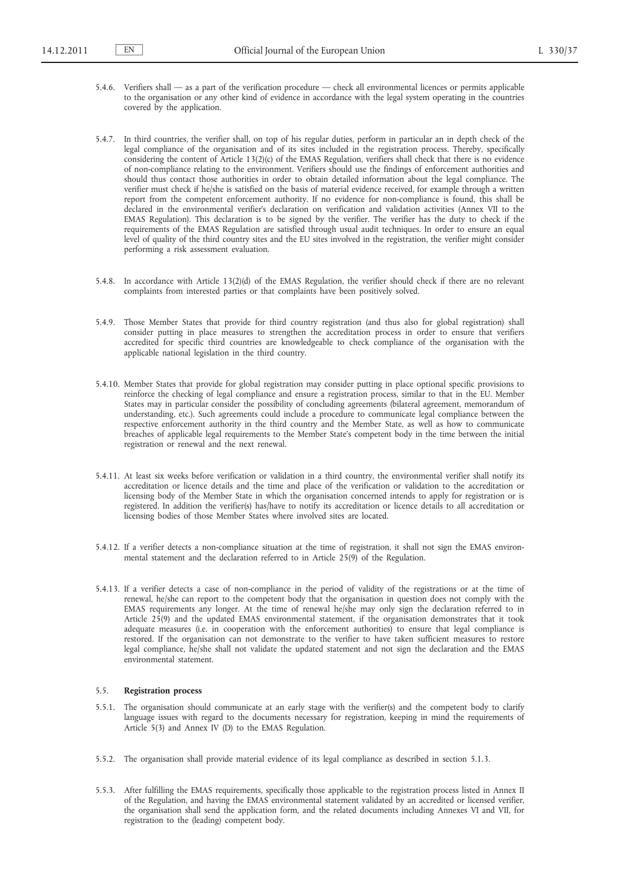- 5.4.6. Verifiers shall as a part of the verification procedure check all environmental licences or permits applicable to the organisation or any other kind of evidence in accordance with the legal system operating in the countries covered by the application.
- 5.4.7. In third countries, the verifier shall, on top of his regular duties, perform in particular an in depth check of the legal compliance of the organisation and of its sites included in the registration process. Thereby, specifically considering the content of Article 13(2)(c) of the EMAS Regulation, verifiers shall check that there is no evidence of non-compliance relating to the environment. Verifiers should use the findings of enforcement authorities and should thus contact those authorities in order to obtain detailed information about the legal compliance. The verifier must check if he/she is satisfied on the basis of material evidence received, for example through a written report from the competent enforcement authority. If no evidence for non-compliance is found, this shall be declared in the environmental verifier's declaration on verification and validation activities (Annex VII to the EMAS Regulation). This declaration is to be signed by the verifier. The verifier has the duty to check if the requirements of the EMAS Regulation are satisfied through usual audit techniques. In order to ensure an equal level of quality of the third country sites and the EU sites involved in the registration, the verifier might consider performing a risk assessment evaluation.
- 5.4.8. In accordance with Article 13(2)(d) of the EMAS Regulation, the verifier should check if there are no relevant complaints from interested parties or that complaints have been positively solved.
- 5.4.9. Those Member States that provide for third country registration (and thus also for global registration) shall consider putting in place measures to strengthen the accreditation process in order to ensure that verifiers accredited for specific third countries are knowledgeable to check compliance of the organisation with the applicable national legislation in the third country.
- 5.4.10. Member States that provide for global registration may consider putting in place optional specific provisions to reinforce the checking of legal compliance and ensure a registration process, similar to that in the EU. Member States may in particular consider the possibility of concluding agreements (bilateral agreement, memorandum of understanding, etc.). Such agreements could include a procedure to communicate legal compliance between the respective enforcement authority in the third country and the Member State, as well as how to communicate breaches of applicable legal requirements to the Member State's competent body in the time between the initial registration or renewal and the next renewal.
- 5.4.11. At least six weeks before verification or validation in a third country, the environmental verifier shall notify its accreditation or licence details and the time and place of the verification or validation to the accreditation or licensing body of the Member State in which the organisation concerned intends to apply for registration or is registered. In addition the verifier(s) has/have to notify its accreditation or licence details to all accreditation or licensing bodies of those Member States where involved sites are located.
- 5.4.12. If a verifier detects a non-compliance situation at the time of registration, it shall not sign the EMAS environmental statement and the declaration referred to in Article 25(9) of the Regulation.
- 5.4.13. If a verifier detects a case of non-compliance in the period of validity of the registrations or at the time of renewal, he/she can report to the competent body that the organisation in question does not comply with the EMAS requirements any longer. At the time of renewal he/she may only sign the declaration referred to in Article  $25(9)$  and the updated EMAS environmental statement, if the organisation demonstrates that it took adequate measures (i.e. in cooperation with the enforcement authorities) to ensure that legal compliance is restored. If the organisation can not demonstrate to the verifier to have taken sufficient measures to restore legal compliance, he/she shall not validate the updated statement and not sign the declaration and the EMAS environmental statement.

# 5.5. **Registration process**

- 5.5.1. The organisation should communicate at an early stage with the verifier(s) and the competent body to clarify language issues with regard to the documents necessary for registration, keeping in mind the requirements of Article 5(3) and Annex IV (D) to the EMAS Regulation.
- 5.5.2. The organisation shall provide material evidence of its legal compliance as described in section 5.1.3.
- 5.5.3. After fulfilling the EMAS requirements, specifically those applicable to the registration process listed in Annex II of the Regulation, and having the EMAS environmental statement validated by an accredited or licensed verifier, the organisation shall send the application form, and the related documents including Annexes VI and VII, for registration to the (leading) competent body.